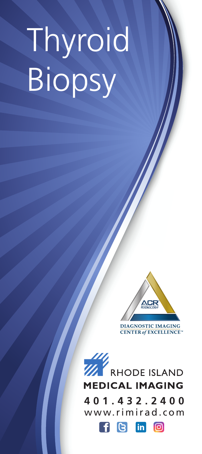# Thyroid Biopsy



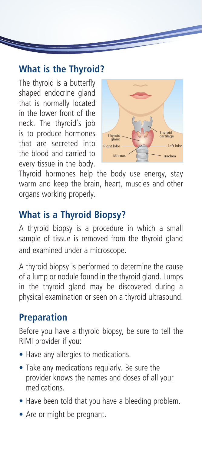#### **What is the Thyroid?**

The thyroid is a butterfly shaped endocrine gland that is normally located in the lower front of the neck. The thyroid's job is to produce hormones that are secreted into the blood and carried to every tissue in the body.



Thyroid hormones help the body use energy, stay warm and keep the brain, heart, muscles and other organs working properly.

# **What is a Thyroid Biopsy?**

A thyroid biopsy is a procedure in which a small sample of tissue is removed from the thyroid gland and examined under a microscope.

A thyroid biopsy is performed to determine the cause of a lump or nodule found in the thyroid gland. Lumps in the thyroid gland may be discovered during a physical examination or seen on a thyroid ultrasound.

#### **Preparation**

Before you have a thyroid biopsy, be sure to tell the RIMI provider if you:

- Have any allergies to medications.
- Take any medications regularly. Be sure the provider knows the names and doses of all your medications.
- Have been told that you have a bleeding problem.
- Are or might be pregnant.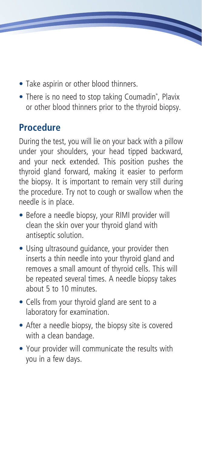- Take aspirin or other blood thinners.
- There is no need to stop taking Coumadin®, Plavix or other blood thinners prior to the thyroid biopsy.

### **Procedure**

During the test, you will lie on your back with a pillow under your shoulders, your head tipped backward, and your neck extended. This position pushes the thyroid gland forward, making it easier to perform the biopsy. It is important to remain very still during the procedure. Try not to cough or swallow when the needle is in place.

- Before a needle biopsy, your RIMI provider will clean the skin over your thyroid gland with antiseptic solution.
- Using ultrasound guidance, your provider then inserts a thin needle into your thyroid gland and removes a small amount of thyroid cells. This will be repeated several times. A needle biopsy takes about 5 to 10 minutes.
- Cells from your thyroid gland are sent to a laboratory for examination.
- After a needle biopsy, the biopsy site is covered with a clean bandage.
- Your provider will communicate the results with you in a few days.